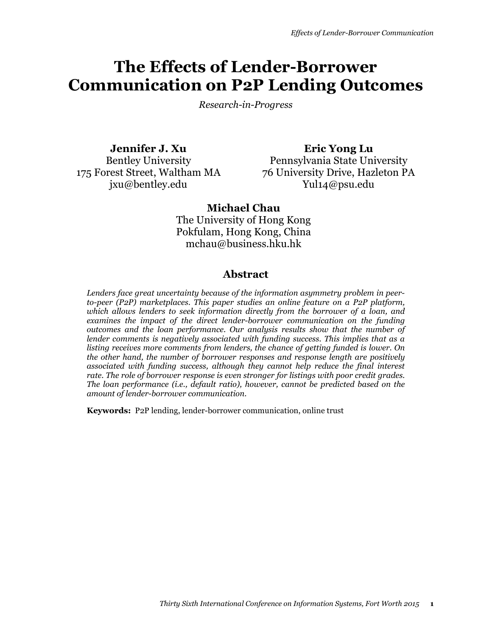# **The Effects of Lender-Borrower Communication on P2P Lending Outcomes**

*Research-in-Progress* 

**Jennifer J. Xu** Bentley University 175 Forest Street, Waltham MA jxu@bentley.edu

**Eric Yong Lu** Pennsylvania State University 76 University Drive, Hazleton PA Yul14@psu.edu

## **Michael Chau**

The University of Hong Kong Pokfulam, Hong Kong, China mchau@business.hku.hk

## **Abstract**

*Lenders face great uncertainty because of the information asymmetry problem in peerto-peer (P2P) marketplaces. This paper studies an online feature on a P2P platform, which allows lenders to seek information directly from the borrower of a loan, and examines the impact of the direct lender-borrower communication on the funding outcomes and the loan performance. Our analysis results show that the number of lender comments is negatively associated with funding success. This implies that as a listing receives more comments from lenders, the chance of getting funded is lower. On the other hand, the number of borrower responses and response length are positively associated with funding success, although they cannot help reduce the final interest rate. The role of borrower response is even stronger for listings with poor credit grades. The loan performance (i.e., default ratio), however, cannot be predicted based on the amount of lender-borrower communication.* 

**Keywords:** P2P lending, lender-borrower communication, online trust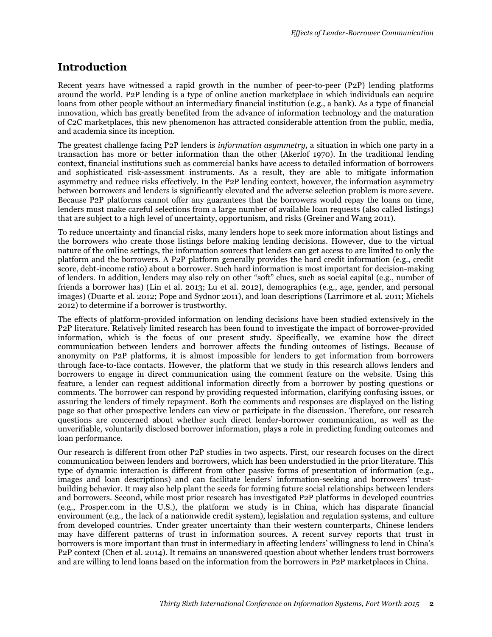# **Introduction**

Recent years have witnessed a rapid growth in the number of peer-to-peer (P2P) lending platforms around the world. P2P lending is a type of online auction marketplace in which individuals can acquire loans from other people without an intermediary financial institution (e.g., a bank). As a type of financial innovation, which has greatly benefited from the advance of information technology and the maturation of C2C marketplaces, this new phenomenon has attracted considerable attention from the public, media, and academia since its inception.

The greatest challenge facing P2P lenders is *information asymmetry*, a situation in which one party in a transaction has more or better information than the other (Akerlof 1970). In the traditional lending context, financial institutions such as commercial banks have access to detailed information of borrowers and sophisticated risk-assessment instruments. As a result, they are able to mitigate information asymmetry and reduce risks effectively. In the P2P lending context, however, the information asymmetry between borrowers and lenders is significantly elevated and the adverse selection problem is more severe. Because P2P platforms cannot offer any guarantees that the borrowers would repay the loans on time, lenders must make careful selections from a large number of available loan requests (also called listings) that are subject to a high level of uncertainty, opportunism, and risks (Greiner and Wang 2011).

To reduce uncertainty and financial risks, many lenders hope to seek more information about listings and the borrowers who create those listings before making lending decisions. However, due to the virtual nature of the online settings, the information sources that lenders can get access to are limited to only the platform and the borrowers. A P2P platform generally provides the hard credit information (e.g., credit score, debt-income ratio) about a borrower. Such hard information is most important for decision-making of lenders. In addition, lenders may also rely on other "soft" clues, such as social capital (e.g., number of friends a borrower has) (Lin et al. 2013; Lu et al. 2012), demographics (e.g., age, gender, and personal images) (Duarte et al. 2012; Pope and Sydnor 2011), and loan descriptions (Larrimore et al. 2011; Michels 2012) to determine if a borrower is trustworthy.

The effects of platform-provided information on lending decisions have been studied extensively in the P2P literature. Relatively limited research has been found to investigate the impact of borrower-provided information, which is the focus of our present study. Specifically, we examine how the direct communication between lenders and borrower affects the funding outcomes of listings. Because of anonymity on P2P platforms, it is almost impossible for lenders to get information from borrowers through face-to-face contacts. However, the platform that we study in this research allows lenders and borrowers to engage in direct communication using the comment feature on the website. Using this feature, a lender can request additional information directly from a borrower by posting questions or comments. The borrower can respond by providing requested information, clarifying confusing issues, or assuring the lenders of timely repayment. Both the comments and responses are displayed on the listing page so that other prospective lenders can view or participate in the discussion. Therefore, our research questions are concerned about whether such direct lender-borrower communication, as well as the unverifiable, voluntarily disclosed borrower information, plays a role in predicting funding outcomes and loan performance.

Our research is different from other P2P studies in two aspects. First, our research focuses on the direct communication between lenders and borrowers, which has been understudied in the prior literature. This type of dynamic interaction is different from other passive forms of presentation of information (e.g., images and loan descriptions) and can facilitate lenders' information-seeking and borrowers' trustbuilding behavior. It may also help plant the seeds for forming future social relationships between lenders and borrowers. Second, while most prior research has investigated P2P platforms in developed countries (e.g., Prosper.com in the U.S.), the platform we study is in China, which has disparate financial environment (e.g., the lack of a nationwide credit system), legislation and regulation systems, and culture from developed countries. Under greater uncertainty than their western counterparts, Chinese lenders may have different patterns of trust in information sources. A recent survey reports that trust in borrowers is more important than trust in intermediary in affecting lenders' willingness to lend in China's P2P context (Chen et al. 2014). It remains an unanswered question about whether lenders trust borrowers and are willing to lend loans based on the information from the borrowers in P2P marketplaces in China.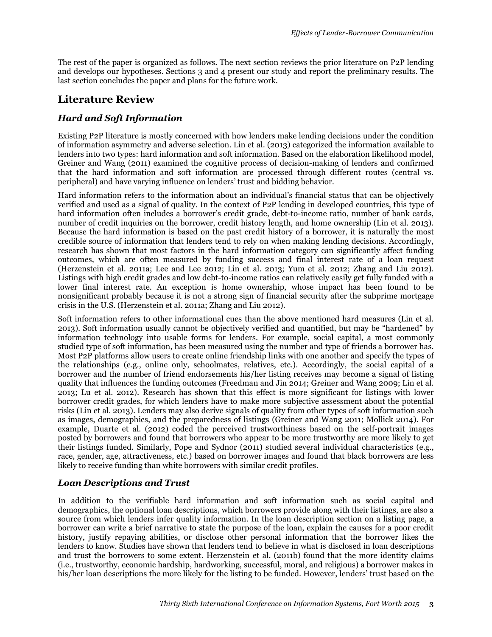The rest of the paper is organized as follows. The next section reviews the prior literature on P2P lending and develops our hypotheses. Sections 3 and 4 present our study and report the preliminary results. The last section concludes the paper and plans for the future work.

# **Literature Review**

## *Hard and Soft Information*

Existing P2P literature is mostly concerned with how lenders make lending decisions under the condition of information asymmetry and adverse selection. Lin et al. (2013) categorized the information available to lenders into two types: hard information and soft information. Based on the elaboration likelihood model, Greiner and Wang (2011) examined the cognitive process of decision-making of lenders and confirmed that the hard information and soft information are processed through different routes (central vs. peripheral) and have varying influence on lenders' trust and bidding behavior.

Hard information refers to the information about an individual's financial status that can be objectively verified and used as a signal of quality. In the context of P2P lending in developed countries, this type of hard information often includes a borrower's credit grade, debt-to-income ratio, number of bank cards, number of credit inquiries on the borrower, credit history length, and home ownership (Lin et al. 2013). Because the hard information is based on the past credit history of a borrower, it is naturally the most credible source of information that lenders tend to rely on when making lending decisions. Accordingly, research has shown that most factors in the hard information category can significantly affect funding outcomes, which are often measured by funding success and final interest rate of a loan request (Herzenstein et al. 2011a; Lee and Lee 2012; Lin et al. 2013; Yum et al. 2012; Zhang and Liu 2012). Listings with high credit grades and low debt-to-income ratios can relatively easily get fully funded with a lower final interest rate. An exception is home ownership, whose impact has been found to be nonsignificant probably because it is not a strong sign of financial security after the subprime mortgage crisis in the U.S. (Herzenstein et al. 2011a; Zhang and Liu 2012).

Soft information refers to other informational cues than the above mentioned hard measures (Lin et al. 2013). Soft information usually cannot be objectively verified and quantified, but may be "hardened" by information technology into usable forms for lenders. For example, social capital, a most commonly studied type of soft information, has been measured using the number and type of friends a borrower has. Most P2P platforms allow users to create online friendship links with one another and specify the types of the relationships (e.g., online only, schoolmates, relatives, etc.). Accordingly, the social capital of a borrower and the number of friend endorsements his/her listing receives may become a signal of listing quality that influences the funding outcomes (Freedman and Jin 2014; Greiner and Wang 2009; Lin et al. 2013; Lu et al. 2012). Research has shown that this effect is more significant for listings with lower borrower credit grades, for which lenders have to make more subjective assessment about the potential risks (Lin et al. 2013). Lenders may also derive signals of quality from other types of soft information such as images, demographics, and the preparedness of listings (Greiner and Wang 2011; Mollick 2014). For example, Duarte et al. (2012) coded the perceived trustworthiness based on the self-portrait images posted by borrowers and found that borrowers who appear to be more trustworthy are more likely to get their listings funded. Similarly, Pope and Sydnor (2011) studied several individual characteristics (e.g., race, gender, age, attractiveness, etc.) based on borrower images and found that black borrowers are less likely to receive funding than white borrowers with similar credit profiles.

## *Loan Descriptions and Trust*

In addition to the verifiable hard information and soft information such as social capital and demographics, the optional loan descriptions, which borrowers provide along with their listings, are also a source from which lenders infer quality information. In the loan description section on a listing page, a borrower can write a brief narrative to state the purpose of the loan, explain the causes for a poor credit history, justify repaying abilities, or disclose other personal information that the borrower likes the lenders to know. Studies have shown that lenders tend to believe in what is disclosed in loan descriptions and trust the borrowers to some extent. Herzenstein et al. (2011b) found that the more identity claims (i.e., trustworthy, economic hardship, hardworking, successful, moral, and religious) a borrower makes in his/her loan descriptions the more likely for the listing to be funded. However, lenders' trust based on the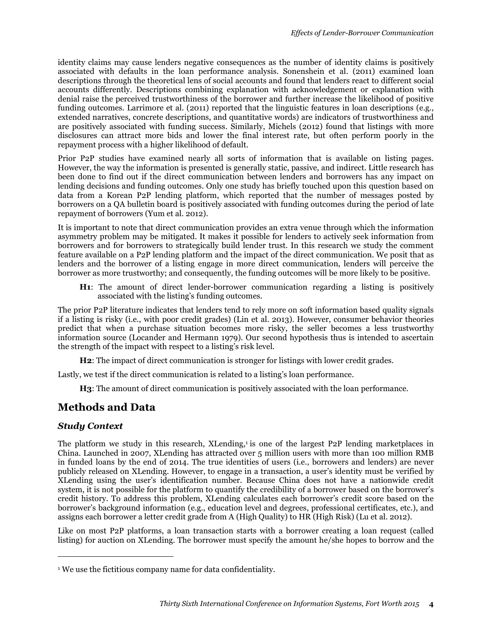identity claims may cause lenders negative consequences as the number of identity claims is positively associated with defaults in the loan performance analysis. Sonenshein et al. (2011) examined loan descriptions through the theoretical lens of social accounts and found that lenders react to different social accounts differently. Descriptions combining explanation with acknowledgement or explanation with denial raise the perceived trustworthiness of the borrower and further increase the likelihood of positive funding outcomes. Larrimore et al. (2011) reported that the linguistic features in loan descriptions (e.g., extended narratives, concrete descriptions, and quantitative words) are indicators of trustworthiness and are positively associated with funding success. Similarly, Michels (2012) found that listings with more disclosures can attract more bids and lower the final interest rate, but often perform poorly in the repayment process with a higher likelihood of default.

Prior P2P studies have examined nearly all sorts of information that is available on listing pages. However, the way the information is presented is generally static, passive, and indirect. Little research has been done to find out if the direct communication between lenders and borrowers has any impact on lending decisions and funding outcomes. Only one study has briefly touched upon this question based on data from a Korean P2P lending platform, which reported that the number of messages posted by borrowers on a QA bulletin board is positively associated with funding outcomes during the period of late repayment of borrowers (Yum et al. 2012).

It is important to note that direct communication provides an extra venue through which the information asymmetry problem may be mitigated. It makes it possible for lenders to actively seek information from borrowers and for borrowers to strategically build lender trust. In this research we study the comment feature available on a P2P lending platform and the impact of the direct communication. We posit that as lenders and the borrower of a listing engage in more direct communication, lenders will perceive the borrower as more trustworthy; and consequently, the funding outcomes will be more likely to be positive.

**H1**: The amount of direct lender-borrower communication regarding a listing is positively associated with the listing's funding outcomes.

The prior P2P literature indicates that lenders tend to rely more on soft information based quality signals if a listing is risky (i.e., with poor credit grades) (Lin et al. 2013). However, consumer behavior theories predict that when a purchase situation becomes more risky, the seller becomes a less trustworthy information source (Locander and Hermann 1979). Our second hypothesis thus is intended to ascertain the strength of the impact with respect to a listing's risk level.

**H2**: The impact of direct communication is stronger for listings with lower credit grades.

Lastly, we test if the direct communication is related to a listing's loan performance.

**H3**: The amount of direct communication is positively associated with the loan performance.

# **Methods and Data**

## *Study Context*

 $\overline{a}$ 

The platform we study in this research, XLending, is one of the largest P2P lending marketplaces in China. Launched in 2007, XLending has attracted over 5 million users with more than 100 million RMB in funded loans by the end of 2014. The true identities of users (i.e., borrowers and lenders) are never publicly released on XLending. However, to engage in a transaction, a user's identity must be verified by XLending using the user's identification number. Because China does not have a nationwide credit system, it is not possible for the platform to quantify the credibility of a borrower based on the borrower's credit history. To address this problem, XLending calculates each borrower's credit score based on the borrower's background information (e.g., education level and degrees, professional certificates, etc.), and assigns each borrower a letter credit grade from A (High Quality) to HR (High Risk) (Lu et al. 2012).

Like on most P2P platforms, a loan transaction starts with a borrower creating a loan request (called listing) for auction on XLending. The borrower must specify the amount he/she hopes to borrow and the

<sup>&</sup>lt;sup>1</sup> We use the fictitious company name for data confidentiality.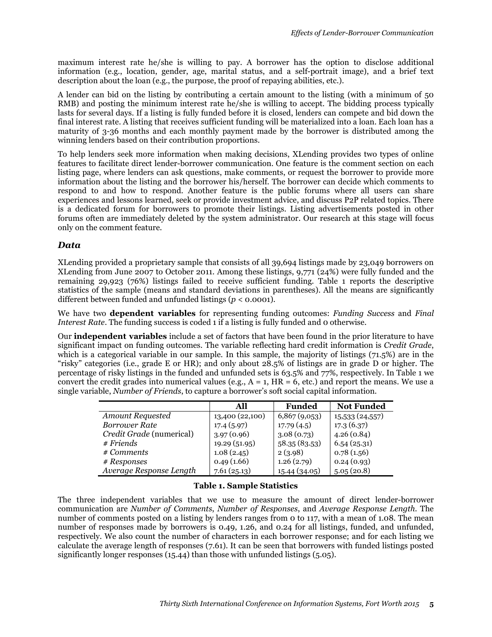maximum interest rate he/she is willing to pay. A borrower has the option to disclose additional information (e.g., location, gender, age, marital status, and a self-portrait image), and a brief text description about the loan (e.g., the purpose, the proof of repaying abilities, etc.).

A lender can bid on the listing by contributing a certain amount to the listing (with a minimum of 50 RMB) and posting the minimum interest rate he/she is willing to accept. The bidding process typically lasts for several days. If a listing is fully funded before it is closed, lenders can compete and bid down the final interest rate. A listing that receives sufficient funding will be materialized into a loan. Each loan has a maturity of 3-36 months and each monthly payment made by the borrower is distributed among the winning lenders based on their contribution proportions.

To help lenders seek more information when making decisions, XLending provides two types of online features to facilitate direct lender-borrower communication. One feature is the comment section on each listing page, where lenders can ask questions, make comments, or request the borrower to provide more information about the listing and the borrower his/herself. The borrower can decide which comments to respond to and how to respond. Another feature is the public forums where all users can share experiences and lessons learned, seek or provide investment advice, and discuss P2P related topics. There is a dedicated forum for borrowers to promote their listings. Listing advertisements posted in other forums often are immediately deleted by the system administrator. Our research at this stage will focus only on the comment feature.

#### *Data*

XLending provided a proprietary sample that consists of all 39,694 listings made by 23,049 borrowers on XLending from June 2007 to October 2011. Among these listings, 9,771 (24%) were fully funded and the remaining 29,923 (76%) listings failed to receive sufficient funding. Table 1 reports the descriptive statistics of the sample (means and standard deviations in parentheses). All the means are significantly different between funded and unfunded listings (*p* < 0.0001).

We have two **dependent variables** for representing funding outcomes: *Funding Success* and *Final Interest Rate*. The funding success is coded 1 if a listing is fully funded and 0 otherwise.

Our **independent variables** include a set of factors that have been found in the prior literature to have significant impact on funding outcomes. The variable reflecting hard credit information is *Credit Grade*, which is a categorical variable in our sample. In this sample, the majority of listings (71.5%) are in the "risky" categories (i.e., grade E or HR); and only about 28.5% of listings are in grade D or higher. The percentage of risky listings in the funded and unfunded sets is 63.5% and 77%, respectively. In Table 1 we convert the credit grades into numerical values (e.g.,  $A = 1$ ,  $HR = 6$ , etc.) and report the means. We use a single variable, *Number of Friends*, to capture a borrower's soft social capital information.

|                          | All             | <b>Funded</b> | <b>Not Funded</b> |
|--------------------------|-----------------|---------------|-------------------|
| <b>Amount Requested</b>  | 13,400 (22,100) | 6,867(9,053)  | 15,533 (24,557)   |
| <b>Borrower Rate</b>     | 17.4(5.97)      | 17.79(4.5)    | 17.3(6.37)        |
| Credit Grade (numerical) | 3.97(0.96)      | 3.08(0.73)    | 4.26(0.84)        |
| $#$ Friends              | 19.29 (51.95)   | 58.35(83.53)  | 6.54(25.31)       |
| # Comments               | 1.08(2.45)      | 2(3.98)       | 0.78(1.56)        |
| # Responses              | 0.49(1.66)      | 1.26(2.79)    | 0.24(0.93)        |
| Average Response Length  | 7.61(25.13)     | 15.44 (34.05) | 5.05(20.8)        |

#### **Table 1. Sample Statistics**

The three independent variables that we use to measure the amount of direct lender-borrower communication are *Number of Comments*, *Number of Responses*, and *Average Response Length*. The number of comments posted on a listing by lenders ranges from 0 to 117, with a mean of 1.08. The mean number of responses made by borrowers is 0.49, 1.26, and 0.24 for all listings, funded, and unfunded, respectively. We also count the number of characters in each borrower response; and for each listing we calculate the average length of responses (7.61). It can be seen that borrowers with funded listings posted significantly longer responses (15.44) than those with unfunded listings (5.05).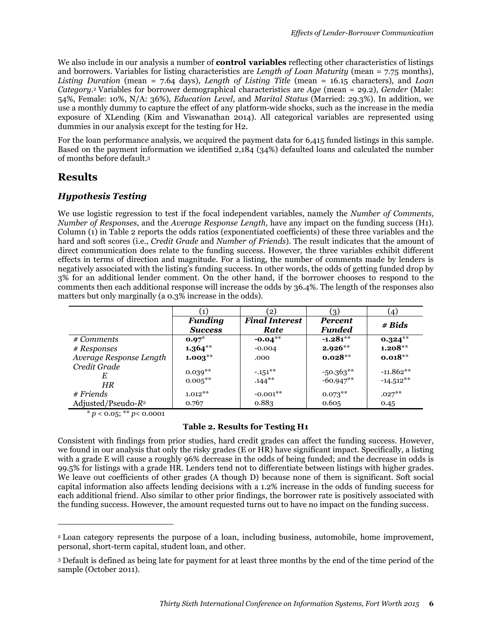We also include in our analysis a number of **control variables** reflecting other characteristics of listings and borrowers. Variables for listing characteristics are *Length of Loan Maturity* (mean = 7.75 months), *Listing Duration* (mean = 7.64 days), *Length of Listing Title* (mean = 16.15 characters), and *Loan Category*. <sup>2</sup> Variables for borrower demographical characteristics are *Age* (mean = 29.2), *Gender* (Male: 54%, Female: 10%, N/A: 36%), *Education Level*, and *Marital Status* (Married: 29.3%). In addition, we use a monthly dummy to capture the effect of any platform-wide shocks, such as the increase in the media exposure of XLending (Kim and Viswanathan 2014). All categorical variables are represented using dummies in our analysis except for the testing for H2.

For the loan performance analysis, we acquired the payment data for 6,415 funded listings in this sample. Based on the payment information we identified 2,184 (34%) defaulted loans and calculated the number of months before default.<sup>3</sup>

# **Results**

-

## *Hypothesis Testing*

We use logistic regression to test if the focal independent variables, namely the *Number of Comments*, *Number of Responses*, and the *Average Response Length,* have any impact on the funding success (H1). Column (1) in Table 2 reports the odds ratios (exponentiated coefficients) of these three variables and the hard and soft scores (i.e., *Credit Grade* and *Number of Friends*). The result indicates that the amount of direct communication does relate to the funding success. However, the three variables exhibit different effects in terms of direction and magnitude. For a listing, the number of comments made by lenders is negatively associated with the listing's funding success. In other words, the odds of getting funded drop by 3% for an additional lender comment. On the other hand, if the borrower chooses to respond to the comments then each additional response will increase the odds by 36.4%. The length of the responses also matters but only marginally (a 0.3% increase in the odds).

|                         | $\left( 1\right)$ | (2)                   | $\left( 3\right)$ | (4)         |
|-------------------------|-------------------|-----------------------|-------------------|-------------|
|                         | <b>Funding</b>    | <b>Final Interest</b> | <b>Percent</b>    | # Bids      |
|                         | <b>Success</b>    | Rate                  | <b>Funded</b>     |             |
| # Comments              | $0.97*$           | $-0.04**$             | $-1.281**$        | $0.324**$   |
| # Responses             | $1.364**$         | $-0.004$              | $2.926**$         | $1.208**$   |
| Average Response Length | $1.003**$         | .000                  | $0.028**$         | $0.018**$   |
| Credit Grade            | $0.039**$         | $-.151***$            | $-50.363**$       | $-11.862**$ |
| Е                       | $0.005***$        | $.144***$             | $-60.947**$       | $-14.512**$ |
| HR                      |                   |                       |                   |             |
| $#$ Friends             | $1.012**$         | $-0.001$ **           | $0.073**$         | $.027***$   |
| Adjusted/Pseudo- $R^2$  | 0.767             | 0.883                 | 0.605             | 0.45        |

 $* p < 0.05$ ;  $** p < 0.0001$ 

#### **Table 2. Results for Testing H1**

Consistent with findings from prior studies, hard credit grades can affect the funding success. However, we found in our analysis that only the risky grades (E or HR) have significant impact. Specifically, a listing with a grade E will cause a roughly 96% decrease in the odds of being funded; and the decrease in odds is 99.5% for listings with a grade HR. Lenders tend not to differentiate between listings with higher grades. We leave out coefficients of other grades (A though D) because none of them is significant. Soft social capital information also affects lending decisions with a 1.2% increase in the odds of funding success for each additional friend. Also similar to other prior findings, the borrower rate is positively associated with the funding success. However, the amount requested turns out to have no impact on the funding success.

<sup>2</sup> Loan category represents the purpose of a loan, including business, automobile, home improvement, personal, short-term capital, student loan, and other.

<sup>3</sup> Default is defined as being late for payment for at least three months by the end of the time period of the sample (October 2011).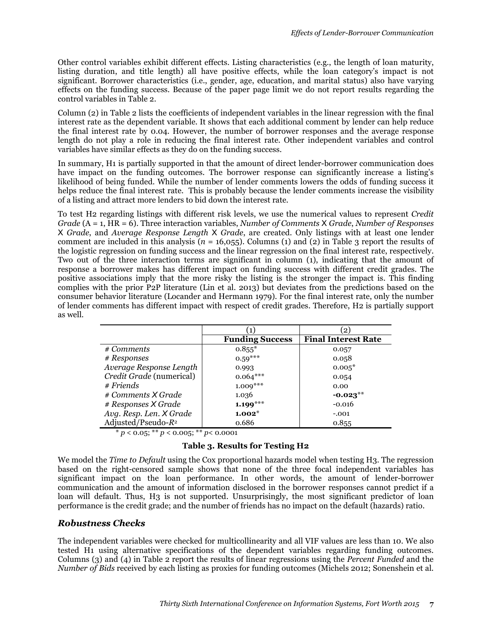Other control variables exhibit different effects. Listing characteristics (e.g., the length of loan maturity, listing duration, and title length) all have positive effects, while the loan category's impact is not significant. Borrower characteristics (i.e., gender, age, education, and marital status) also have varying effects on the funding success. Because of the paper page limit we do not report results regarding the control variables in Table 2.

Column (2) in Table 2 lists the coefficients of independent variables in the linear regression with the final interest rate as the dependent variable. It shows that each additional comment by lender can help reduce the final interest rate by 0.04. However, the number of borrower responses and the average response length do not play a role in reducing the final interest rate. Other independent variables and control variables have similar effects as they do on the funding success.

In summary, H1 is partially supported in that the amount of direct lender-borrower communication does have impact on the funding outcomes. The borrower response can significantly increase a listing's likelihood of being funded. While the number of lender comments lowers the odds of funding success it helps reduce the final interest rate. This is probably because the lender comments increase the visibility of a listing and attract more lenders to bid down the interest rate.

To test H2 regarding listings with different risk levels, we use the numerical values to represent *Credit Grade* (A = 1, HR = 6). Three interaction variables, *Number of Comments* X *Grade*, *Number of Responses* X *Grade*, and *Average Response Length* X *Grade*, are created. Only listings with at least one lender comment are included in this analysis ( $n = 16,055$ ). Columns (1) and (2) in Table 3 report the results of the logistic regression on funding success and the linear regression on the final interest rate, respectively. Two out of the three interaction terms are significant in column (1), indicating that the amount of response a borrower makes has different impact on funding success with different credit grades. The positive associations imply that the more risky the listing is the stronger the impact is. This finding complies with the prior P2P literature (Lin et al. 2013) but deviates from the predictions based on the consumer behavior literature (Locander and Hermann 1979). For the final interest rate, only the number of lender comments has different impact with respect of credit grades. Therefore, H2 is partially support as well.

|                          |                        | $\left[ 2 \right]$         |
|--------------------------|------------------------|----------------------------|
|                          | <b>Funding Success</b> | <b>Final Interest Rate</b> |
| # Comments               | $0.855*$               | 0.057                      |
| # Responses              | $0.59***$              | 0.058                      |
| Average Response Length  | 0.993                  | $0.005*$                   |
| Credit Grade (numerical) | $0.064***$             | 0.054                      |
| $#$ Friends              | $1.009***$             | 0.00                       |
| # Comments X Grade       | 1.036                  | $-0.023**$                 |
| # Responses X Grade      | $1.199***$             | $-0.016$                   |
| Avg. Resp. Len. X Grade  | $1.002*$               | $-.001$                    |
| Adjusted/Pseudo- $R^2$   | 0.686                  | 0.855                      |

 $\frac{*}{p}$  < 0.05; \*\* *p* < 0.005; \*\* *p* < 0.0001

#### **Table 3. Results for Testing H2**

We model the *Time to Default* using the Cox proportional hazards model when testing H3. The regression based on the right-censored sample shows that none of the three focal independent variables has significant impact on the loan performance. In other words, the amount of lender-borrower communication and the amount of information disclosed in the borrower responses cannot predict if a loan will default. Thus, H<sub>3</sub> is not supported. Unsurprisingly, the most significant predictor of loan performance is the credit grade; and the number of friends has no impact on the default (hazards) ratio.

#### *Robustness Checks*

The independent variables were checked for multicollinearity and all VIF values are less than 10. We also tested H1 using alternative specifications of the dependent variables regarding funding outcomes. Columns (3) and (4) in Table 2 report the results of linear regressions using the *Percent Funded* and the *Number of Bids* received by each listing as proxies for funding outcomes (Michels 2012; Sonenshein et al.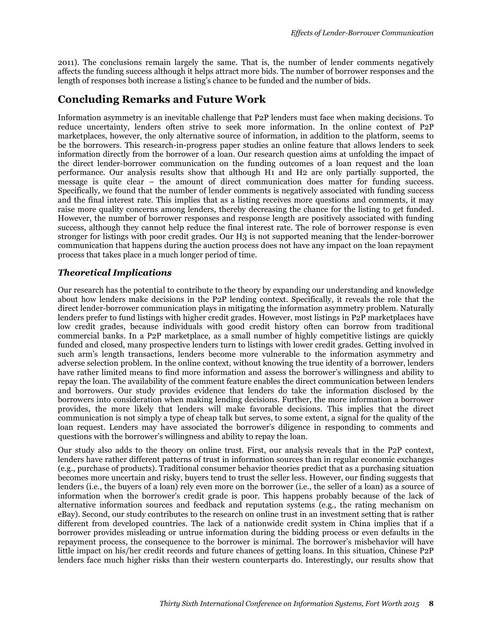2011). The conclusions remain largely the same. That is, the number of lender comments negatively affects the funding success although it helps attract more bids. The number of borrower responses and the length of responses both increase a listing's chance to be funded and the number of bids.

# **Concluding Remarks and Future Work**

Information asymmetry is an inevitable challenge that P2P lenders must face when making decisions. To reduce uncertainty, lenders often strive to seek more information. In the online context of P2P marketplaces, however, the only alternative source of information, in addition to the platform, seems to be the borrowers. This research-in-progress paper studies an online feature that allows lenders to seek information directly from the borrower of a loan. Our research question aims at unfolding the impact of the direct lender-borrower communication on the funding outcomes of a loan request and the loan performance. Our analysis results show that although H1 and H2 are only partially supported, the message is quite clear – the amount of direct communication does matter for funding success. Specifically, we found that the number of lender comments is negatively associated with funding success and the final interest rate. This implies that as a listing receives more questions and comments, it may raise more quality concerns among lenders, thereby decreasing the chance for the listing to get funded. However, the number of borrower responses and response length are positively associated with funding success, although they cannot help reduce the final interest rate. The role of borrower response is even stronger for listings with poor credit grades. Our H3 is not supported meaning that the lender-borrower communication that happens during the auction process does not have any impact on the loan repayment process that takes place in a much longer period of time.

## *Theoretical Implications*

Our research has the potential to contribute to the theory by expanding our understanding and knowledge about how lenders make decisions in the P2P lending context. Specifically, it reveals the role that the direct lender-borrower communication plays in mitigating the information asymmetry problem. Naturally lenders prefer to fund listings with higher credit grades. However, most listings in P2P marketplaces have low credit grades, because individuals with good credit history often can borrow from traditional commercial banks. In a P2P marketplace, as a small number of highly competitive listings are quickly funded and closed, many prospective lenders turn to listings with lower credit grades. Getting involved in such arm's length transactions, lenders become more vulnerable to the information asymmetry and adverse selection problem. In the online context, without knowing the true identity of a borrower, lenders have rather limited means to find more information and assess the borrower's willingness and ability to repay the loan. The availability of the comment feature enables the direct communication between lenders and borrowers. Our study provides evidence that lenders do take the information disclosed by the borrowers into consideration when making lending decisions. Further, the more information a borrower provides, the more likely that lenders will make favorable decisions. This implies that the direct communication is not simply a type of cheap talk but serves, to some extent, a signal for the quality of the loan request. Lenders may have associated the borrower's diligence in responding to comments and questions with the borrower's willingness and ability to repay the loan.

Our study also adds to the theory on online trust. First, our analysis reveals that in the P2P context, lenders have rather different patterns of trust in information sources than in regular economic exchanges (e.g., purchase of products). Traditional consumer behavior theories predict that as a purchasing situation becomes more uncertain and risky, buyers tend to trust the seller less. However, our finding suggests that lenders (i.e., the buyers of a loan) rely even more on the borrower (i.e., the seller of a loan) as a source of information when the borrower's credit grade is poor. This happens probably because of the lack of alternative information sources and feedback and reputation systems (e.g., the rating mechanism on eBay). Second, our study contributes to the research on online trust in an investment setting that is rather different from developed countries. The lack of a nationwide credit system in China implies that if a borrower provides misleading or untrue information during the bidding process or even defaults in the repayment process, the consequence to the borrower is minimal. The borrower's misbehavior will have little impact on his/her credit records and future chances of getting loans. In this situation, Chinese P2P lenders face much higher risks than their western counterparts do. Interestingly, our results show that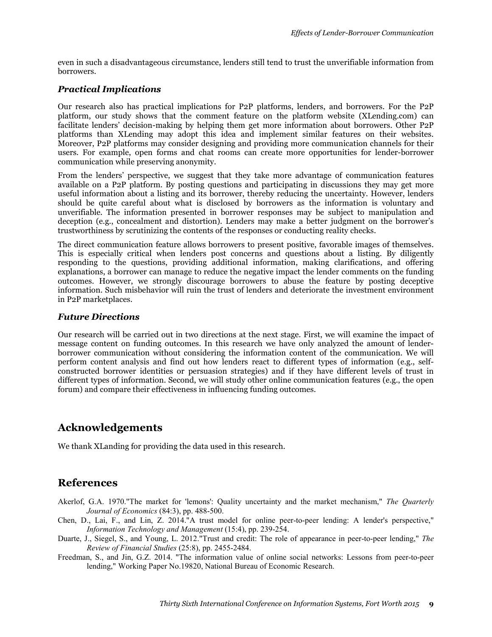even in such a disadvantageous circumstance, lenders still tend to trust the unverifiable information from borrowers.

#### *Practical Implications*

Our research also has practical implications for P2P platforms, lenders, and borrowers. For the P2P platform, our study shows that the comment feature on the platform website (XLending.com) can facilitate lenders' decision-making by helping them get more information about borrowers. Other P2P platforms than XLending may adopt this idea and implement similar features on their websites. Moreover, P2P platforms may consider designing and providing more communication channels for their users. For example, open forms and chat rooms can create more opportunities for lender-borrower communication while preserving anonymity.

From the lenders' perspective, we suggest that they take more advantage of communication features available on a P2P platform. By posting questions and participating in discussions they may get more useful information about a listing and its borrower, thereby reducing the uncertainty. However, lenders should be quite careful about what is disclosed by borrowers as the information is voluntary and unverifiable. The information presented in borrower responses may be subject to manipulation and deception (e.g., concealment and distortion). Lenders may make a better judgment on the borrower's trustworthiness by scrutinizing the contents of the responses or conducting reality checks.

The direct communication feature allows borrowers to present positive, favorable images of themselves. This is especially critical when lenders post concerns and questions about a listing. By diligently responding to the questions, providing additional information, making clarifications, and offering explanations, a borrower can manage to reduce the negative impact the lender comments on the funding outcomes. However, we strongly discourage borrowers to abuse the feature by posting deceptive information. Such misbehavior will ruin the trust of lenders and deteriorate the investment environment in P2P marketplaces.

#### *Future Directions*

Our research will be carried out in two directions at the next stage. First, we will examine the impact of message content on funding outcomes. In this research we have only analyzed the amount of lenderborrower communication without considering the information content of the communication. We will perform content analysis and find out how lenders react to different types of information (e.g., selfconstructed borrower identities or persuasion strategies) and if they have different levels of trust in different types of information. Second, we will study other online communication features (e.g., the open forum) and compare their effectiveness in influencing funding outcomes.

# **Acknowledgements**

We thank XLanding for providing the data used in this research.

# **References**

- Akerlof, G.A. 1970."The market for 'lemons': Quality uncertainty and the market mechanism," *The Quarterly Journal of Economics* (84:3), pp. 488-500.
- Chen, D., Lai, F., and Lin, Z. 2014."A trust model for online peer-to-peer lending: A lender's perspective," *Information Technology and Management* (15:4), pp. 239-254.
- Duarte, J., Siegel, S., and Young, L. 2012."Trust and credit: The role of appearance in peer-to-peer lending," *The Review of Financial Studies* (25:8), pp. 2455-2484.
- Freedman, S., and Jin, G.Z. 2014. "The information value of online social networks: Lessons from peer-to-peer lending," Working Paper No.19820, National Bureau of Economic Research.